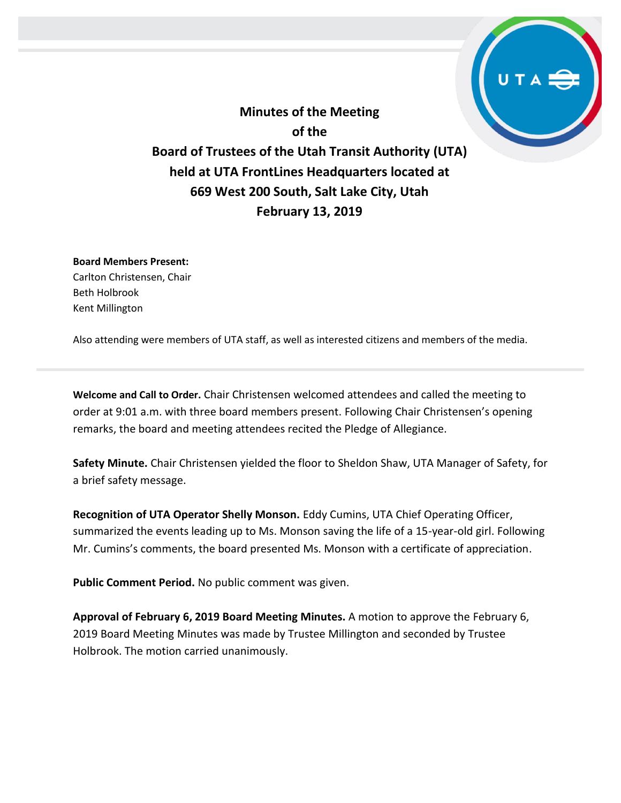**Minutes of the Meeting of the Board of Trustees of the Utah Transit Authority (UTA) held at UTA FrontLines Headquarters located at 669 West 200 South, Salt Lake City, Utah February 13, 2019**

**Board Members Present:** Carlton Christensen, Chair Beth Holbrook Kent Millington

Also attending were members of UTA staff, as well as interested citizens and members of the media.

**Welcome and Call to Order.** Chair Christensen welcomed attendees and called the meeting to order at 9:01 a.m. with three board members present. Following Chair Christensen's opening remarks, the board and meeting attendees recited the Pledge of Allegiance.

**Safety Minute.** Chair Christensen yielded the floor to Sheldon Shaw, UTA Manager of Safety, for a brief safety message.

**Recognition of UTA Operator Shelly Monson.** Eddy Cumins, UTA Chief Operating Officer, summarized the events leading up to Ms. Monson saving the life of a 15-year-old girl. Following Mr. Cumins's comments, the board presented Ms. Monson with a certificate of appreciation.

**Public Comment Period.** No public comment was given.

**Approval of February 6, 2019 Board Meeting Minutes.** A motion to approve the February 6, 2019 Board Meeting Minutes was made by Trustee Millington and seconded by Trustee Holbrook. The motion carried unanimously.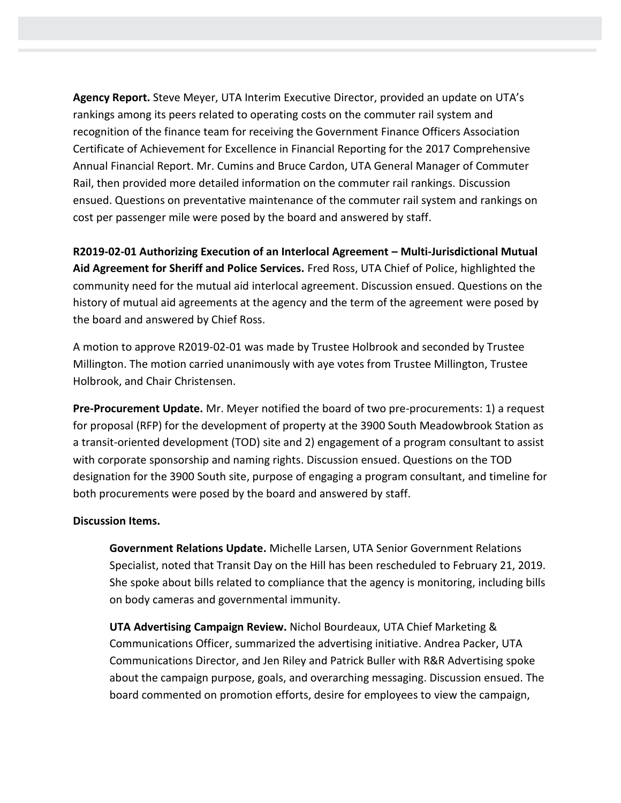**Agency Report.** Steve Meyer, UTA Interim Executive Director, provided an update on UTA's rankings among its peers related to operating costs on the commuter rail system and recognition of the finance team for receiving the Government Finance Officers Association Certificate of Achievement for Excellence in Financial Reporting for the 2017 Comprehensive Annual Financial Report. Mr. Cumins and Bruce Cardon, UTA General Manager of Commuter Rail, then provided more detailed information on the commuter rail rankings. Discussion ensued. Questions on preventative maintenance of the commuter rail system and rankings on cost per passenger mile were posed by the board and answered by staff.

**R2019-02-01 Authorizing Execution of an Interlocal Agreement – Multi-Jurisdictional Mutual Aid Agreement for Sheriff and Police Services.** Fred Ross, UTA Chief of Police, highlighted the community need for the mutual aid interlocal agreement. Discussion ensued. Questions on the history of mutual aid agreements at the agency and the term of the agreement were posed by the board and answered by Chief Ross.

A motion to approve R2019-02-01 was made by Trustee Holbrook and seconded by Trustee Millington. The motion carried unanimously with aye votes from Trustee Millington, Trustee Holbrook, and Chair Christensen.

**Pre-Procurement Update.** Mr. Meyer notified the board of two pre-procurements: 1) a request for proposal (RFP) for the development of property at the 3900 South Meadowbrook Station as a transit-oriented development (TOD) site and 2) engagement of a program consultant to assist with corporate sponsorship and naming rights. Discussion ensued. Questions on the TOD designation for the 3900 South site, purpose of engaging a program consultant, and timeline for both procurements were posed by the board and answered by staff.

## **Discussion Items.**

**Government Relations Update.** Michelle Larsen, UTA Senior Government Relations Specialist, noted that Transit Day on the Hill has been rescheduled to February 21, 2019. She spoke about bills related to compliance that the agency is monitoring, including bills on body cameras and governmental immunity.

**UTA Advertising Campaign Review.** Nichol Bourdeaux, UTA Chief Marketing & Communications Officer, summarized the advertising initiative. Andrea Packer, UTA Communications Director, and Jen Riley and Patrick Buller with R&R Advertising spoke about the campaign purpose, goals, and overarching messaging. Discussion ensued. The board commented on promotion efforts, desire for employees to view the campaign,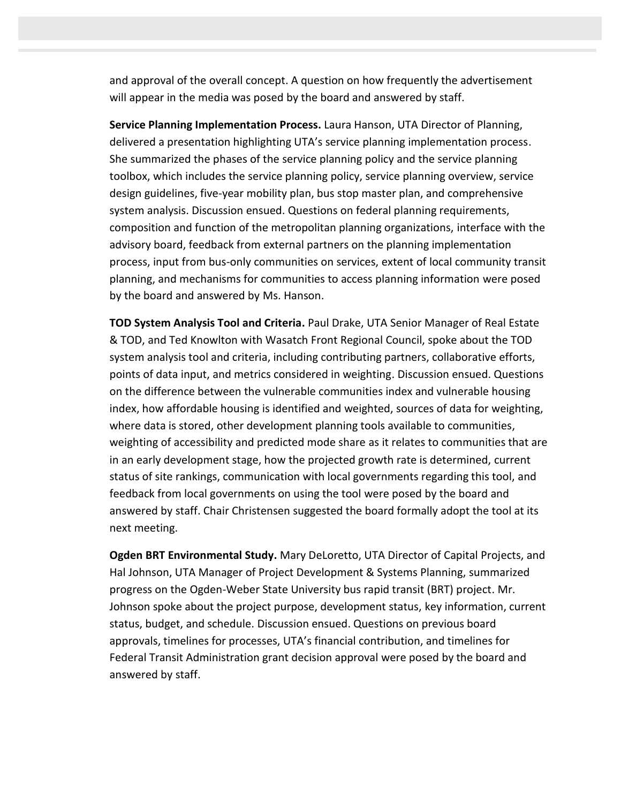and approval of the overall concept. A question on how frequently the advertisement will appear in the media was posed by the board and answered by staff.

**Service Planning Implementation Process.** Laura Hanson, UTA Director of Planning, delivered a presentation highlighting UTA's service planning implementation process. She summarized the phases of the service planning policy and the service planning toolbox, which includes the service planning policy, service planning overview, service design guidelines, five-year mobility plan, bus stop master plan, and comprehensive system analysis. Discussion ensued. Questions on federal planning requirements, composition and function of the metropolitan planning organizations, interface with the advisory board, feedback from external partners on the planning implementation process, input from bus-only communities on services, extent of local community transit planning, and mechanisms for communities to access planning information were posed by the board and answered by Ms. Hanson.

**TOD System Analysis Tool and Criteria.** Paul Drake, UTA Senior Manager of Real Estate & TOD, and Ted Knowlton with Wasatch Front Regional Council, spoke about the TOD system analysis tool and criteria, including contributing partners, collaborative efforts, points of data input, and metrics considered in weighting. Discussion ensued. Questions on the difference between the vulnerable communities index and vulnerable housing index, how affordable housing is identified and weighted, sources of data for weighting, where data is stored, other development planning tools available to communities, weighting of accessibility and predicted mode share as it relates to communities that are in an early development stage, how the projected growth rate is determined, current status of site rankings, communication with local governments regarding this tool, and feedback from local governments on using the tool were posed by the board and answered by staff. Chair Christensen suggested the board formally adopt the tool at its next meeting.

**Ogden BRT Environmental Study.** Mary DeLoretto, UTA Director of Capital Projects, and Hal Johnson, UTA Manager of Project Development & Systems Planning, summarized progress on the Ogden-Weber State University bus rapid transit (BRT) project. Mr. Johnson spoke about the project purpose, development status, key information, current status, budget, and schedule. Discussion ensued. Questions on previous board approvals, timelines for processes, UTA's financial contribution, and timelines for Federal Transit Administration grant decision approval were posed by the board and answered by staff.